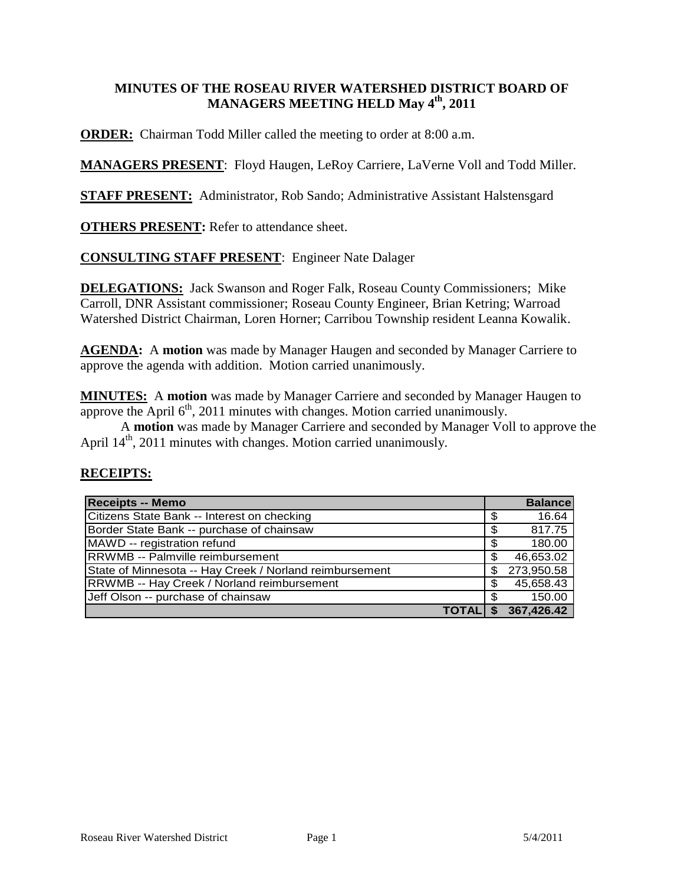### **MINUTES OF THE ROSEAU RIVER WATERSHED DISTRICT BOARD OF MANAGERS MEETING HELD May 4th, 2011**

**ORDER:** Chairman Todd Miller called the meeting to order at 8:00 a.m.

**MANAGERS PRESENT**: Floyd Haugen, LeRoy Carriere, LaVerne Voll and Todd Miller.

**STAFF PRESENT:** Administrator, Rob Sando; Administrative Assistant Halstensgard

**OTHERS PRESENT:** Refer to attendance sheet.

**CONSULTING STAFF PRESENT**: Engineer Nate Dalager

**DELEGATIONS:** Jack Swanson and Roger Falk, Roseau County Commissioners; Mike Carroll, DNR Assistant commissioner; Roseau County Engineer, Brian Ketring; Warroad Watershed District Chairman, Loren Horner; Carribou Township resident Leanna Kowalik.

**AGENDA:** A **motion** was made by Manager Haugen and seconded by Manager Carriere to approve the agenda with addition. Motion carried unanimously.

**MINUTES:** A **motion** was made by Manager Carriere and seconded by Manager Haugen to approve the April  $6<sup>th</sup>$ , 2011 minutes with changes. Motion carried unanimously.

A **motion** was made by Manager Carriere and seconded by Manager Voll to approve the April 14<sup>th</sup>, 2011 minutes with changes. Motion carried unanimously.

## **RECEIPTS:**

| <b>Receipts -- Memo</b>                                 |     | <b>Balance</b> |
|---------------------------------------------------------|-----|----------------|
| Citizens State Bank -- Interest on checking             | S   | 16.64          |
| Border State Bank -- purchase of chainsaw               | \$  | 817.75         |
| MAWD -- registration refund                             | \$  | 180.00         |
| <b>RRWMB</b> -- Palmville reimbursement                 | S   | 46,653.02      |
| State of Minnesota -- Hay Creek / Norland reimbursement | \$. | 273,950.58     |
| RRWMB -- Hay Creek / Norland reimbursement              | S   | 45,658.43      |
| Jeff Olson -- purchase of chainsaw                      | S   | 150.00         |
| ΤΟΤΑΙ                                                   |     | 367,426.42     |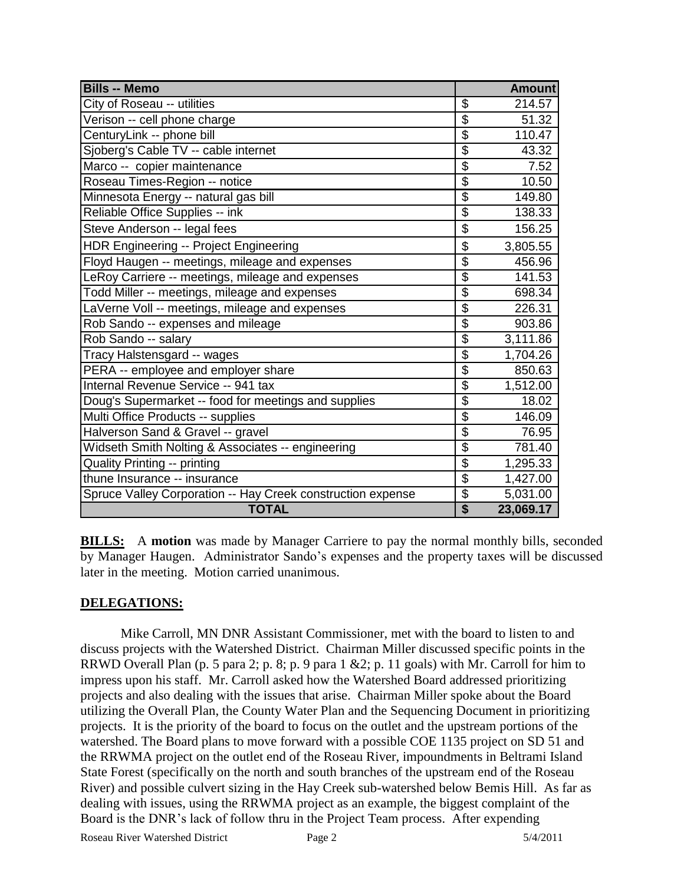| <b>Bills -- Memo</b>                                        |                           | <b>Amount</b> |
|-------------------------------------------------------------|---------------------------|---------------|
| City of Roseau -- utilities                                 | \$                        | 214.57        |
| Verison -- cell phone charge                                | \$                        | 51.32         |
| CenturyLink -- phone bill                                   | \$                        | 110.47        |
| Sjoberg's Cable TV -- cable internet                        | $\overline{\$}$           | 43.32         |
| Marco -- copier maintenance                                 | \$                        | 7.52          |
| Roseau Times-Region -- notice                               | \$                        | 10.50         |
| Minnesota Energy -- natural gas bill                        | $\overline{\mathbf{S}}$   | 149.80        |
| Reliable Office Supplies -- ink                             | \$                        | 138.33        |
| Steve Anderson -- legal fees                                | \$                        | 156.25        |
| HDR Engineering -- Project Engineering                      | \$                        | 3,805.55      |
| Floyd Haugen -- meetings, mileage and expenses              | \$                        | 456.96        |
| LeRoy Carriere -- meetings, mileage and expenses            | \$                        | 141.53        |
| Todd Miller -- meetings, mileage and expenses               | \$                        | 698.34        |
| LaVerne Voll -- meetings, mileage and expenses              | $\overline{\mathcal{S}}$  | 226.31        |
| Rob Sando -- expenses and mileage                           | \$                        | 903.86        |
| Rob Sando -- salary                                         | $\overline{\$}$           | 3,111.86      |
| Tracy Halstensgard -- wages                                 | $\overline{\mathbf{S}}$   | 1,704.26      |
| PERA -- employee and employer share                         | \$                        | 850.63        |
| Internal Revenue Service -- 941 tax                         | \$                        | 1,512.00      |
| Doug's Supermarket -- food for meetings and supplies        | $\overline{\mathfrak{s}}$ | 18.02         |
| Multi Office Products -- supplies                           | \$                        | 146.09        |
| Halverson Sand & Gravel -- gravel                           | $\overline{\$}$           | 76.95         |
| Widseth Smith Nolting & Associates -- engineering           | \$                        | 781.40        |
| Quality Printing -- printing                                | $\overline{\$}$           | 1,295.33      |
| thune Insurance -- insurance                                | $\overline{\mathbf{S}}$   | 1,427.00      |
| Spruce Valley Corporation -- Hay Creek construction expense | \$                        | 5,031.00      |
| <b>TOTAL</b>                                                | $\overline{\mathbf{S}}$   | 23,069.17     |

**BILLS:** A motion was made by Manager Carriere to pay the normal monthly bills, seconded by Manager Haugen. Administrator Sando's expenses and the property taxes will be discussed later in the meeting. Motion carried unanimous.

## **DELEGATIONS:**

Mike Carroll, MN DNR Assistant Commissioner, met with the board to listen to and discuss projects with the Watershed District. Chairman Miller discussed specific points in the RRWD Overall Plan (p. 5 para 2; p. 8; p. 9 para 1 & 2; p. 11 goals) with Mr. Carroll for him to impress upon his staff. Mr. Carroll asked how the Watershed Board addressed prioritizing projects and also dealing with the issues that arise. Chairman Miller spoke about the Board utilizing the Overall Plan, the County Water Plan and the Sequencing Document in prioritizing projects. It is the priority of the board to focus on the outlet and the upstream portions of the watershed. The Board plans to move forward with a possible COE 1135 project on SD 51 and the RRWMA project on the outlet end of the Roseau River, impoundments in Beltrami Island State Forest (specifically on the north and south branches of the upstream end of the Roseau River) and possible culvert sizing in the Hay Creek sub-watershed below Bemis Hill. As far as dealing with issues, using the RRWMA project as an example, the biggest complaint of the Board is the DNR's lack of follow thru in the Project Team process. After expending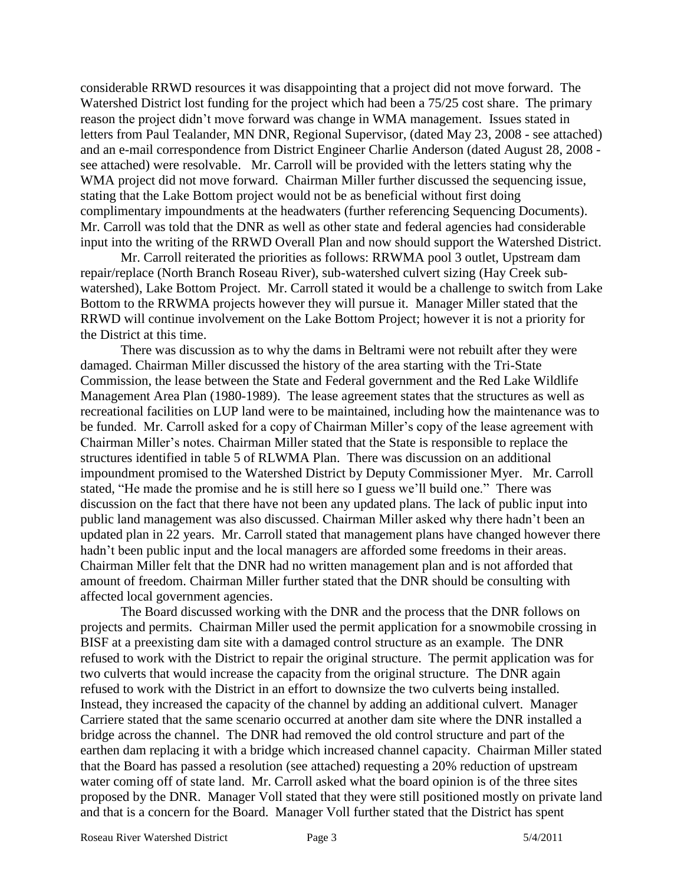considerable RRWD resources it was disappointing that a project did not move forward. The Watershed District lost funding for the project which had been a 75/25 cost share. The primary reason the project didn't move forward was change in WMA management. Issues stated in letters from Paul Tealander, MN DNR, Regional Supervisor, (dated May 23, 2008 - see attached) and an e-mail correspondence from District Engineer Charlie Anderson (dated August 28, 2008 see attached) were resolvable. Mr. Carroll will be provided with the letters stating why the WMA project did not move forward. Chairman Miller further discussed the sequencing issue, stating that the Lake Bottom project would not be as beneficial without first doing complimentary impoundments at the headwaters (further referencing Sequencing Documents). Mr. Carroll was told that the DNR as well as other state and federal agencies had considerable input into the writing of the RRWD Overall Plan and now should support the Watershed District.

Mr. Carroll reiterated the priorities as follows: RRWMA pool 3 outlet, Upstream dam repair/replace (North Branch Roseau River), sub-watershed culvert sizing (Hay Creek subwatershed), Lake Bottom Project. Mr. Carroll stated it would be a challenge to switch from Lake Bottom to the RRWMA projects however they will pursue it. Manager Miller stated that the RRWD will continue involvement on the Lake Bottom Project; however it is not a priority for the District at this time.

There was discussion as to why the dams in Beltrami were not rebuilt after they were damaged. Chairman Miller discussed the history of the area starting with the Tri-State Commission, the lease between the State and Federal government and the Red Lake Wildlife Management Area Plan (1980-1989). The lease agreement states that the structures as well as recreational facilities on LUP land were to be maintained, including how the maintenance was to be funded. Mr. Carroll asked for a copy of Chairman Miller's copy of the lease agreement with Chairman Miller's notes. Chairman Miller stated that the State is responsible to replace the structures identified in table 5 of RLWMA Plan. There was discussion on an additional impoundment promised to the Watershed District by Deputy Commissioner Myer. Mr. Carroll stated, "He made the promise and he is still here so I guess we'll build one." There was discussion on the fact that there have not been any updated plans. The lack of public input into public land management was also discussed. Chairman Miller asked why there hadn't been an updated plan in 22 years. Mr. Carroll stated that management plans have changed however there hadn't been public input and the local managers are afforded some freedoms in their areas. Chairman Miller felt that the DNR had no written management plan and is not afforded that amount of freedom. Chairman Miller further stated that the DNR should be consulting with affected local government agencies.

The Board discussed working with the DNR and the process that the DNR follows on projects and permits. Chairman Miller used the permit application for a snowmobile crossing in BISF at a preexisting dam site with a damaged control structure as an example. The DNR refused to work with the District to repair the original structure. The permit application was for two culverts that would increase the capacity from the original structure. The DNR again refused to work with the District in an effort to downsize the two culverts being installed. Instead, they increased the capacity of the channel by adding an additional culvert. Manager Carriere stated that the same scenario occurred at another dam site where the DNR installed a bridge across the channel. The DNR had removed the old control structure and part of the earthen dam replacing it with a bridge which increased channel capacity. Chairman Miller stated that the Board has passed a resolution (see attached) requesting a 20% reduction of upstream water coming off of state land. Mr. Carroll asked what the board opinion is of the three sites proposed by the DNR. Manager Voll stated that they were still positioned mostly on private land and that is a concern for the Board. Manager Voll further stated that the District has spent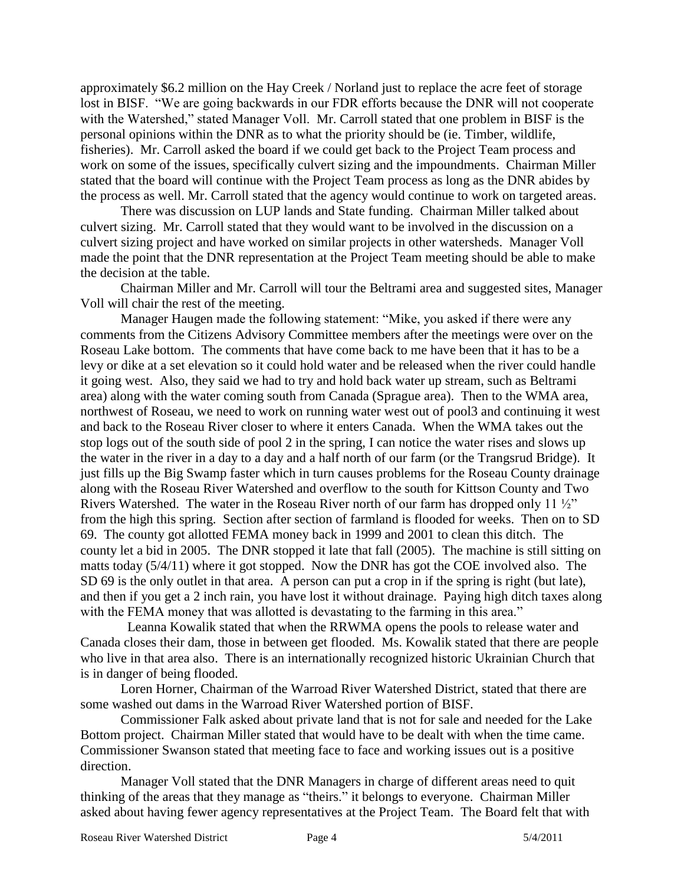approximately \$6.2 million on the Hay Creek / Norland just to replace the acre feet of storage lost in BISF. "We are going backwards in our FDR efforts because the DNR will not cooperate with the Watershed," stated Manager Voll. Mr. Carroll stated that one problem in BISF is the personal opinions within the DNR as to what the priority should be (ie. Timber, wildlife, fisheries). Mr. Carroll asked the board if we could get back to the Project Team process and work on some of the issues, specifically culvert sizing and the impoundments. Chairman Miller stated that the board will continue with the Project Team process as long as the DNR abides by the process as well. Mr. Carroll stated that the agency would continue to work on targeted areas.

There was discussion on LUP lands and State funding. Chairman Miller talked about culvert sizing. Mr. Carroll stated that they would want to be involved in the discussion on a culvert sizing project and have worked on similar projects in other watersheds. Manager Voll made the point that the DNR representation at the Project Team meeting should be able to make the decision at the table.

Chairman Miller and Mr. Carroll will tour the Beltrami area and suggested sites, Manager Voll will chair the rest of the meeting.

Manager Haugen made the following statement: "Mike, you asked if there were any comments from the Citizens Advisory Committee members after the meetings were over on the Roseau Lake bottom. The comments that have come back to me have been that it has to be a levy or dike at a set elevation so it could hold water and be released when the river could handle it going west. Also, they said we had to try and hold back water up stream, such as Beltrami area) along with the water coming south from Canada (Sprague area). Then to the WMA area, northwest of Roseau, we need to work on running water west out of pool3 and continuing it west and back to the Roseau River closer to where it enters Canada. When the WMA takes out the stop logs out of the south side of pool 2 in the spring, I can notice the water rises and slows up the water in the river in a day to a day and a half north of our farm (or the Trangsrud Bridge). It just fills up the Big Swamp faster which in turn causes problems for the Roseau County drainage along with the Roseau River Watershed and overflow to the south for Kittson County and Two Rivers Watershed. The water in the Roseau River north of our farm has dropped only  $11\frac{1}{2}$ " from the high this spring. Section after section of farmland is flooded for weeks. Then on to SD 69. The county got allotted FEMA money back in 1999 and 2001 to clean this ditch. The county let a bid in 2005. The DNR stopped it late that fall (2005). The machine is still sitting on matts today (5/4/11) where it got stopped. Now the DNR has got the COE involved also. The SD 69 is the only outlet in that area. A person can put a crop in if the spring is right (but late), and then if you get a 2 inch rain, you have lost it without drainage. Paying high ditch taxes along with the FEMA money that was allotted is devastating to the farming in this area."

 Leanna Kowalik stated that when the RRWMA opens the pools to release water and Canada closes their dam, those in between get flooded. Ms. Kowalik stated that there are people who live in that area also. There is an internationally recognized historic Ukrainian Church that is in danger of being flooded.

Loren Horner, Chairman of the Warroad River Watershed District, stated that there are some washed out dams in the Warroad River Watershed portion of BISF.

Commissioner Falk asked about private land that is not for sale and needed for the Lake Bottom project. Chairman Miller stated that would have to be dealt with when the time came. Commissioner Swanson stated that meeting face to face and working issues out is a positive direction.

Manager Voll stated that the DNR Managers in charge of different areas need to quit thinking of the areas that they manage as "theirs." it belongs to everyone. Chairman Miller asked about having fewer agency representatives at the Project Team. The Board felt that with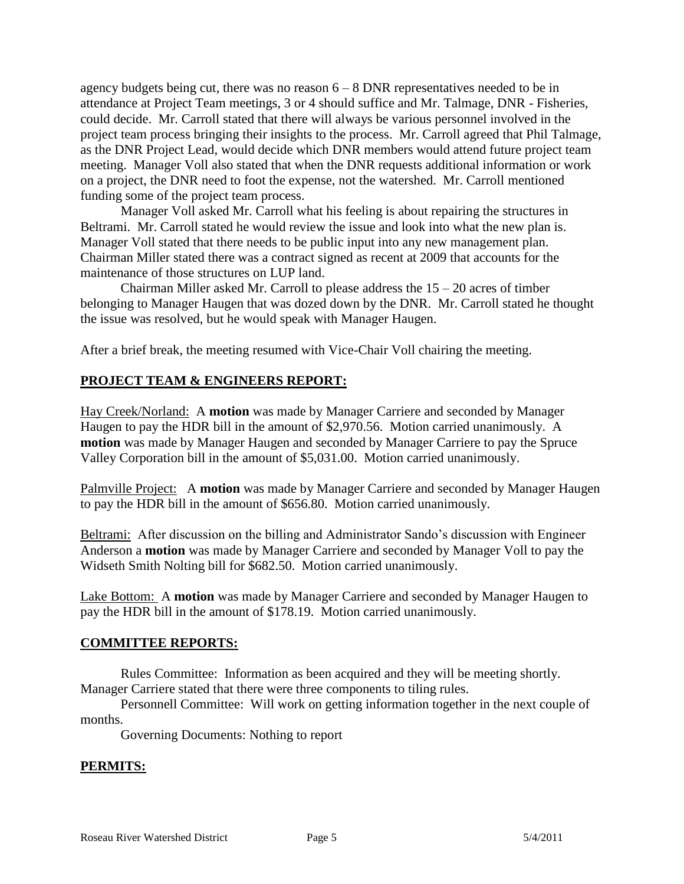agency budgets being cut, there was no reason  $6 - 8$  DNR representatives needed to be in attendance at Project Team meetings, 3 or 4 should suffice and Mr. Talmage, DNR - Fisheries, could decide. Mr. Carroll stated that there will always be various personnel involved in the project team process bringing their insights to the process. Mr. Carroll agreed that Phil Talmage, as the DNR Project Lead, would decide which DNR members would attend future project team meeting. Manager Voll also stated that when the DNR requests additional information or work on a project, the DNR need to foot the expense, not the watershed. Mr. Carroll mentioned funding some of the project team process.

Manager Voll asked Mr. Carroll what his feeling is about repairing the structures in Beltrami. Mr. Carroll stated he would review the issue and look into what the new plan is. Manager Voll stated that there needs to be public input into any new management plan. Chairman Miller stated there was a contract signed as recent at 2009 that accounts for the maintenance of those structures on LUP land.

Chairman Miller asked Mr. Carroll to please address the  $15 - 20$  acres of timber belonging to Manager Haugen that was dozed down by the DNR. Mr. Carroll stated he thought the issue was resolved, but he would speak with Manager Haugen.

After a brief break, the meeting resumed with Vice-Chair Voll chairing the meeting.

# **PROJECT TEAM & ENGINEERS REPORT:**

Hay Creek/Norland: A **motion** was made by Manager Carriere and seconded by Manager Haugen to pay the HDR bill in the amount of \$2,970.56. Motion carried unanimously. A **motion** was made by Manager Haugen and seconded by Manager Carriere to pay the Spruce Valley Corporation bill in the amount of \$5,031.00. Motion carried unanimously.

Palmville Project: A motion was made by Manager Carriere and seconded by Manager Haugen to pay the HDR bill in the amount of \$656.80. Motion carried unanimously.

Beltrami: After discussion on the billing and Administrator Sando's discussion with Engineer Anderson a **motion** was made by Manager Carriere and seconded by Manager Voll to pay the Widseth Smith Nolting bill for \$682.50. Motion carried unanimously.

Lake Bottom: A **motion** was made by Manager Carriere and seconded by Manager Haugen to pay the HDR bill in the amount of \$178.19. Motion carried unanimously.

#### **COMMITTEE REPORTS:**

Rules Committee: Information as been acquired and they will be meeting shortly. Manager Carriere stated that there were three components to tiling rules.

Personnell Committee: Will work on getting information together in the next couple of months.

Governing Documents: Nothing to report

#### **PERMITS:**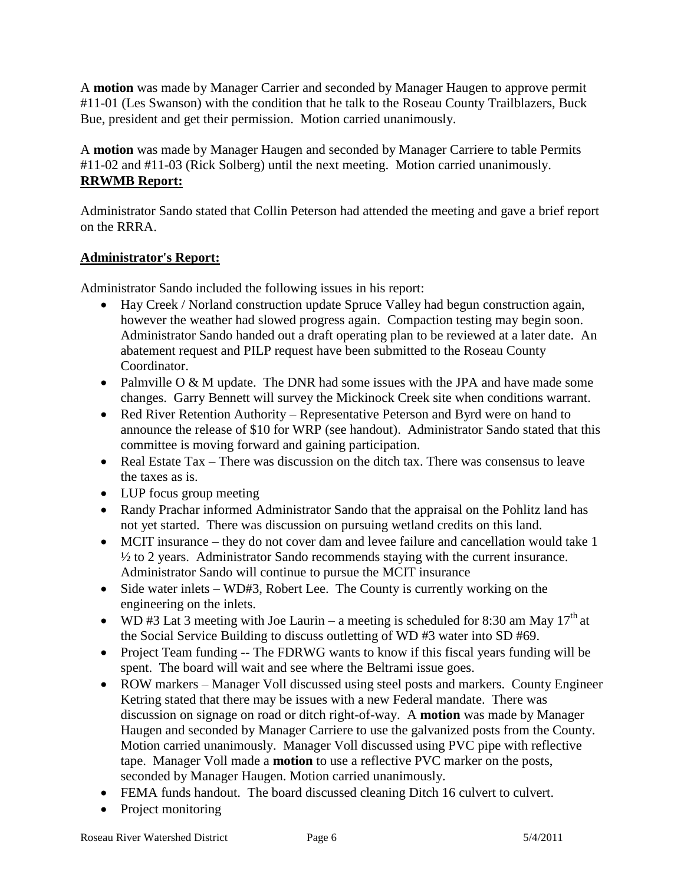A **motion** was made by Manager Carrier and seconded by Manager Haugen to approve permit #11-01 (Les Swanson) with the condition that he talk to the Roseau County Trailblazers, Buck Bue, president and get their permission. Motion carried unanimously.

A **motion** was made by Manager Haugen and seconded by Manager Carriere to table Permits #11-02 and #11-03 (Rick Solberg) until the next meeting. Motion carried unanimously. **RRWMB Report:**

Administrator Sando stated that Collin Peterson had attended the meeting and gave a brief report on the RRRA.

# **Administrator's Report:**

Administrator Sando included the following issues in his report:

- Hay Creek / Norland construction update Spruce Valley had begun construction again, however the weather had slowed progress again. Compaction testing may begin soon. Administrator Sando handed out a draft operating plan to be reviewed at a later date. An abatement request and PILP request have been submitted to the Roseau County Coordinator.
- Palmville  $O & M$  update. The DNR had some issues with the JPA and have made some changes. Garry Bennett will survey the Mickinock Creek site when conditions warrant.
- Red River Retention Authority Representative Peterson and Byrd were on hand to announce the release of \$10 for WRP (see handout). Administrator Sando stated that this committee is moving forward and gaining participation.
- Real Estate Tax There was discussion on the ditch tax. There was consensus to leave the taxes as is.
- LUP focus group meeting
- Randy Prachar informed Administrator Sando that the appraisal on the Pohlitz land has not yet started. There was discussion on pursuing wetland credits on this land.
- MCIT insurance they do not cover dam and levee failure and cancellation would take 1 ½ to 2 years. Administrator Sando recommends staying with the current insurance. Administrator Sando will continue to pursue the MCIT insurance
- Side water inlets WD#3, Robert Lee. The County is currently working on the engineering on the inlets.
- WD #3 Lat 3 meeting with Joe Laurin a meeting is scheduled for 8:30 am May 17<sup>th</sup> at the Social Service Building to discuss outletting of WD #3 water into SD #69.
- Project Team funding -- The FDRWG wants to know if this fiscal years funding will be spent. The board will wait and see where the Beltrami issue goes.
- ROW markers Manager Voll discussed using steel posts and markers. County Engineer Ketring stated that there may be issues with a new Federal mandate. There was discussion on signage on road or ditch right-of-way. A **motion** was made by Manager Haugen and seconded by Manager Carriere to use the galvanized posts from the County. Motion carried unanimously. Manager Voll discussed using PVC pipe with reflective tape. Manager Voll made a **motion** to use a reflective PVC marker on the posts, seconded by Manager Haugen. Motion carried unanimously.
- FEMA funds handout. The board discussed cleaning Ditch 16 culvert to culvert.
- Project monitoring